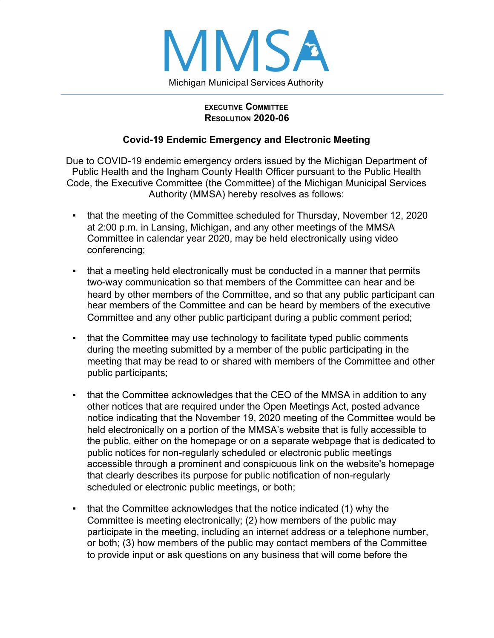

## **EXECUTIVE COMMITTEE RESOLUTION 2020-06**

## **Covid-19 Endemic Emergency and Electronic Meeting**

Due to COVID-19 endemic emergency orders issued by the Michigan Department of Public Health and the Ingham County Health Officer pursuant to the Public Health Code, the Executive Committee (the Committee) of the Michigan Municipal Services Authority (MMSA) hereby resolves as follows:

- that the meeting of the Committee scheduled for Thursday, November 12, 2020 at 2:00 p.m. in Lansing, Michigan, and any other meetings of the MMSA Committee in calendar year 2020, may be held electronically using video conferencing;
- that a meeting held electronically must be conducted in a manner that permits two-way communication so that members of the Committee can hear and be heard by other members of the Committee, and so that any public participant can hear members of the Committee and can be heard by members of the executive Committee and any other public participant during a public comment period;
- **that the Committee may use technology to facilitate typed public comments** during the meeting submitted by a member of the public participating in the meeting that may be read to or shared with members of the Committee and other public participants;
- that the Committee acknowledges that the CEO of the MMSA in addition to any other notices that are required under the Open Meetings Act, posted advance notice indicating that the November 19, 2020 meeting of the Committee would be held electronically on a portion of the MMSA's website that is fully accessible to the public, either on the homepage or on a separate webpage that is dedicated to public notices for non-regularly scheduled or electronic public meetings accessible through a prominent and conspicuous link on the website's homepage that clearly describes its purpose for public notification of non-regularly scheduled or electronic public meetings, or both;
- that the Committee acknowledges that the notice indicated (1) why the Committee is meeting electronically; (2) how members of the public may participate in the meeting, including an internet address or a telephone number, or both; (3) how members of the public may contact members of the Committee to provide input or ask questions on any business that will come before the